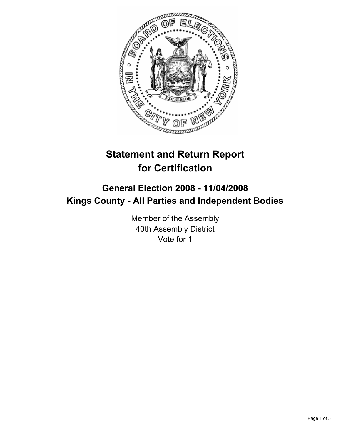

## **Statement and Return Report for Certification**

## **General Election 2008 - 11/04/2008 Kings County - All Parties and Independent Bodies**

Member of the Assembly 40th Assembly District Vote for 1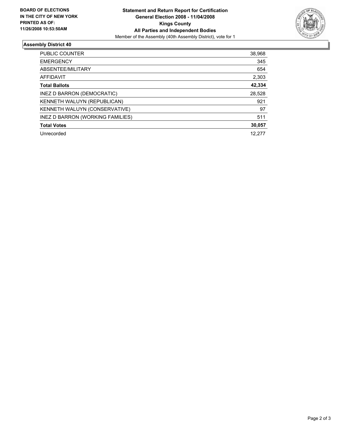

## **Assembly District 40**

| <b>PUBLIC COUNTER</b>            | 38,968 |
|----------------------------------|--------|
| <b>EMERGENCY</b>                 | 345    |
| ABSENTEE/MILITARY                | 654    |
| AFFIDAVIT                        | 2,303  |
| <b>Total Ballots</b>             | 42,334 |
| INEZ D BARRON (DEMOCRATIC)       | 28,528 |
| KENNETH WALUYN (REPUBLICAN)      | 921    |
| KENNETH WALUYN (CONSERVATIVE)    | 97     |
| INEZ D BARRON (WORKING FAMILIES) | 511    |
| <b>Total Votes</b>               | 30,057 |
| Unrecorded                       | 12.277 |